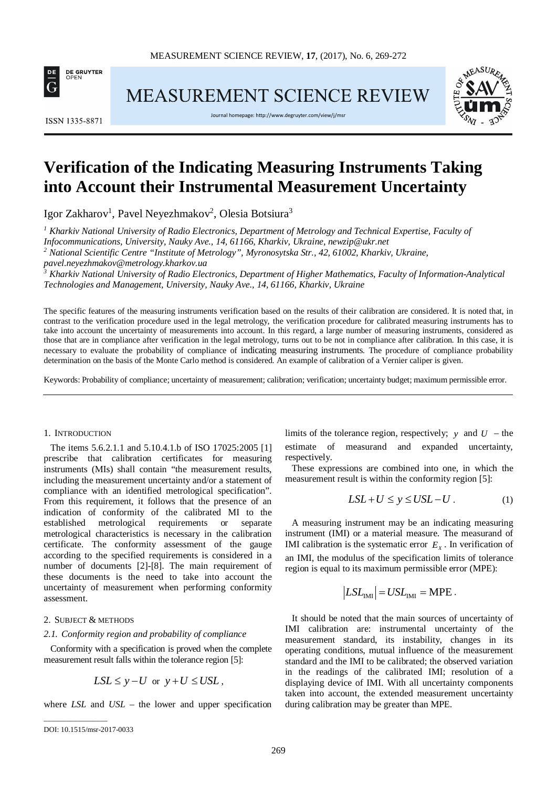

MEASUREMENT SCIENCE REVIEW



Journal homepage[: http://www.degruyter.com/view/j/msr](http://www.degruyter.com/view/j/msr)



# **Verification of the Indicating Measuring Instruments Taking into Account their Instrumental Measurement Uncertainty**

Igor Zakharov<sup>1</sup>, Pavel Neyezhmakov<sup>2</sup>, Olesia Botsiura<sup>3</sup>

*<sup>1</sup> Kharkiv National University of Radio Electronics, Department of Metrology and Technical Expertise, Faculty of Infocommunications, University, Nauky Ave., 14, 61166, Kharkiv, Ukraine, newzip@ukr.net*

*<sup>2</sup> National Scientific Centre "Institute of Metrology", Myronosytska Str., 42, 61002, Kharkiv, Ukraine,* 

*pavel.neyezhmakov@metrology.kharkov.ua*

*<sup>3</sup> Kharkiv National University of Radio Electronics, Department of Higher Mathematics, Faculty of Information-Analytical Technologies and Management, University, Nauky Ave., 14, 61166, Kharkiv, Ukraine*

The specific features of the measuring instruments verification based on the results of their calibration are considered. It is noted that, in contrast to the verification procedure used in the legal metrology, the verification procedure for calibrated measuring instruments has to take into account the uncertainty of measurements into account. In this regard, a large number of measuring instruments, considered as those that are in compliance after verification in the legal metrology, turns out to be not in compliance after calibration*.* In this case, it is necessary to evaluate the probability of compliance of indicating measuring instruments. The procedure of compliance probability determination on the basis of the Monte Carlo method is considered. An example of calibration of a Vernier caliper is given.

Keywords: Probability of compliance; uncertainty of measurement; calibration; verification; uncertainty budget; maximum permissible error.

## 1. INTRODUCTION

The items 5.6.2.1.1 and 5.10.4.1.b of ISO 17025:2005 [1] prescribe that calibration certificates for measuring instruments (МIs) shall contain "the measurement results, including the measurement uncertainty and/or a statement of compliance with an identified metrological specification". From this requirement, it follows that the presence of an indication of conformity of the calibrated MI to the established metrological requirements or separate metrological characteristics is necessary in the calibration certificate. The conformity assessment of the gauge according to the specified requirements is considered in a number of documents [2]-[8]. The main requirement of these documents is the need to take into account the uncertainty of measurement when performing conformity assessment.

## 2. SUBJECT & METHODS

#### *2.1. Conformity region and probability of compliance*

Conformity with a specification is proved when the complete measurement result falls within the tolerance region [5]:

$$
LSL \le y - U \text{ or } y + U \le USL,
$$

where *LSL* and *USL* – the lower and upper specification

\_\_\_\_\_\_\_\_\_\_\_\_\_\_\_\_\_

limits of the tolerance region, respectively;  $y$  and  $U$  – the estimate of measurand and expanded uncertainty, respectively.

These expressions are combined into one, in which the measurement result is within the conformity region [5]:

$$
LSL + U \le y \le USL - U. \tag{1}
$$

A measuring instrument may be an indicating measuring instrument (IMI) or a material measure. The measurand of IMI calibration is the systematic error  $E<sub>x</sub>$ . In verification of an IMI, the modulus of the specification limits of tolerance region is equal to its maximum permissible error (MPE):

$$
|LSLIMI| = USLIMI = MPE.
$$

It should be noted that the main sources of uncertainty of IMI calibration are: instrumental uncertainty of the measurement standard, its instability, changes in its operating conditions, mutual influence of the measurement standard and the IMI to be calibrated; the observed variation in the readings of the calibrated IMI; resolution of a displaying device of IMI. With all uncertainty components taken into account, the extended measurement uncertainty during calibration may be greater than MPE.

DOI: 10.1515/msr-2017-0033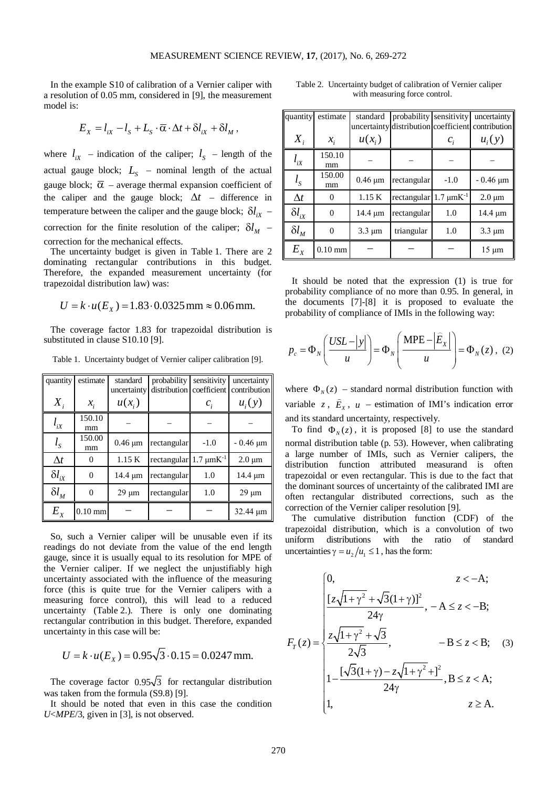In the example S10 of calibration of a Vernier caliper with a resolution of 0.05 mm, considered in [9], the measurement model is:

$$
E_x = l_{ix} - l_s + L_s \cdot \overline{\alpha} \cdot \Delta t + \delta l_{ix} + \delta l_{M},
$$

where  $l_{ix}$  – indication of the caliper;  $l_s$  – length of the actual gauge block;  $L<sub>S</sub>$  – nominal length of the actual gauge block;  $\overline{\alpha}$  – average thermal expansion coefficient of the caliper and the gauge block; ∆*t* – difference in temperature between the caliper and the gauge block;  $\delta l_{ix}$  – correction for the finite resolution of the caliper;  $\delta l_M$  – correction for the mechanical effects.

The uncertainty budget is given in Table 1. There are 2 dominating rectangular contributions in this budget. Therefore, the expanded measurement uncertainty (for trapezoidal distribution law) was:

$$
U = k \cdot u(E_x) = 1.83 \cdot 0.0325 \,\text{mm} \approx 0.06 \,\text{mm}.
$$

The coverage factor 1.83 for trapezoidal distribution is substituted in clause S10.10 [9].

Table 1. Uncertainty budget of Vernier caliper calibration [9].

| quantity        | estimate        | standard<br>uncertainty | probability<br>distribution   | sensitivity<br>coefficient | uncertainty<br>contribution |
|-----------------|-----------------|-------------------------|-------------------------------|----------------------------|-----------------------------|
| $X_i$           | $\mathcal{X}_i$ | $u(x_i)$                |                               | $c_i$                      | $u_i(y)$                    |
| $l_{iX}$        | 150.10<br>mm    |                         |                               |                            |                             |
| $l_{S}$         | 150.00<br>mm    | $0.46 \mu m$            | rectangular                   | $-1.0$                     | $-0.46 \mu m$               |
| $\Delta t$      | 0               | 1.15K                   | rectangular $1.7 \mu mK^{-1}$ |                            | $2.0 \mu m$                 |
| $\delta l_{ix}$ | 0               | 14.4 µm                 | rectangular                   | 1.0                        | 14.4 µm                     |
| $\delta l_M$    | 0               | $29 \mu m$              | rectangular                   | 1.0                        | $29 \mu m$                  |
| $E_{x}$         | $0.10$ mm       |                         |                               |                            | 32.44 µm                    |

So, such a Vernier caliper will be unusable even if its readings do not deviate from the value of the end length gauge, since it is usually equal to its resolution for MPE of the Vernier caliper. If we neglect the unjustifiably high uncertainty associated with the influence of the measuring force (this is quite true for the Vernier calipers with a measuring force control), this will lead to a reduced uncertainty (Table 2.). There is only one dominating rectangular contribution in this budget. Therefore, expanded uncertainty in this case will be:

$$
U = k \cdot u(E_x) = 0.95\sqrt{3} \cdot 0.15 = 0.0247 \text{ mm}.
$$

The coverage factor  $0.95\sqrt{3}$  for rectangular distribution was taken from the formula (S9.8) [9].

It should be noted that even in this case the condition *U*<*MPE*/3, given in [3], is not observed.

| Table 2. Uncertainty budget of calibration of Vernier caliper |
|---------------------------------------------------------------|
| with measuring force control.                                 |

| quantity        | estimate        | standard     | probability                   | sensitivity     | uncertainty<br>uncertainty distribution coefficient contribution |
|-----------------|-----------------|--------------|-------------------------------|-----------------|------------------------------------------------------------------|
| $X_i$           | $\mathcal{X}_i$ | $u(x_i)$     |                               | $\mathcal{C}_i$ | $u_i(y)$                                                         |
| $l_{iX}$        | 150.10<br>mm    |              |                               |                 |                                                                  |
| $l_{S}$         | 150.00<br>mm    | $0.46 \mu m$ | rectangular                   | $-1.0$          | $-0.46 \mu m$                                                    |
| $\Delta t$      | $\Omega$        | 1.15 K       | rectangular $1.7 \mu mK^{-1}$ |                 | $2.0 \mu m$                                                      |
| $\delta l_{ix}$ | 0               | $14.4 \mu m$ | rectangular                   | 1.0             | $14.4 \mu m$                                                     |
| $\delta l_M$    | 0               | $3.3 \mu m$  | triangular                    | 1.0             | $3.3 \mu m$                                                      |
| $E_{x}$         | $0.10$ mm       |              |                               |                 | $15 \mu m$                                                       |

It should be noted that the expression (1) is true for probability compliance of no more than 0.95. In general, in the documents [7]-[8] it is proposed to evaluate the probability of compliance of IMIs in the following way:

$$
p_c = \Phi_N \left( \frac{USL - |y|}{u} \right) = \Phi_N \left( \frac{\text{MPE} - |\hat{E}_X|}{u} \right) = \Phi_N(z), \tag{2}
$$

where  $\Phi_{N}(z)$  – standard normal distribution function with variable *z*,  $\hat{E}_x$ , *u* – estimation of IMI's indication error and its standard uncertainty, respectively.

To find  $\Phi_{N}(z)$ , it is proposed [8] to use the standard normal distribution table (p. 53). However, when calibrating a large number of IMIs, such as Vernier calipers, the distribution function attributed measurand is often trapezoidal or even rectangular. This is due to the fact that the dominant sources of uncertainty of the calibrated IMI are often rectangular distributed corrections, such as the correction of the Vernier caliper resolution [9].

The cumulative distribution function (CDF) of the trapezoidal distribution, which is a convolution of two uniform distributions with the ratio of standard uncertainties  $\gamma = u_2 / u_1 \leq 1$ , has the form:

$$
F_{T}(z) = \begin{cases} 0, & z < -A; \\ \frac{[z\sqrt{1 + \gamma^{2}} + \sqrt{3}(1 + \gamma)]^{2}}{24\gamma}, & -A \leq z < -B; \\ \frac{z\sqrt{1 + \gamma^{2}} + \sqrt{3}}{2\sqrt{3}}, & -B \leq z < B; \\ 1 - \frac{[\sqrt{3}(1 + \gamma) - z\sqrt{1 + \gamma^{2}} + ]^{2}}{24\gamma}, & B \leq z < A; \\ 1, & z \geq A. \end{cases}
$$
 (3)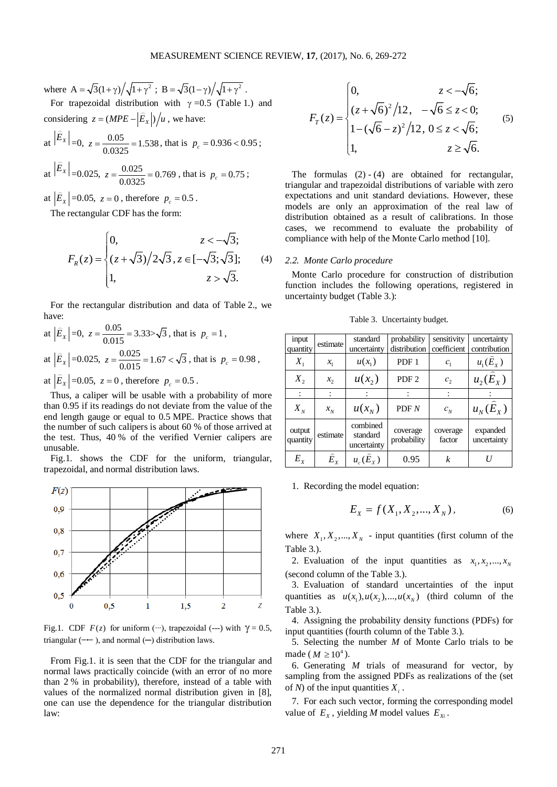where  $A = \sqrt{3}(1 + \gamma) / \sqrt{1 + \gamma^2}$ ;  $B = \sqrt{3}(1 - \gamma) / \sqrt{1 + \gamma^2}$ .

For trapezoidal distribution with  $\gamma = 0.5$  (Table 1.) and considering  $z = (MPE - |\hat{E}_x|)/u$ , we have:  $\ddot{ }$ 

at 
$$
|E_x| = 0
$$
,  $z = \frac{0.05}{0.0325} = 1.538$ , that is  $p_c = 0.936 < 0.95$ ;

at 
$$
|E_x|
$$
 =0.025,  $z = \frac{0.025}{0.0325} = 0.769$ , that is  $p_c = 0.75$ ;

at  $|\hat{E}_x|$  =0.05,  $z = 0$ , therefore  $p_c = 0.5$ .

The rectangular CDF has the form:

 $\mathbf{r} = \mathbf{r}$ 

$$
F_R(z) = \begin{cases} 0, & z < -\sqrt{3}; \\ (z + \sqrt{3})/2\sqrt{3}, z \in [-\sqrt{3}; \sqrt{3}]; \\ 1, & z > \sqrt{3}. \end{cases}
$$
 (4)

For the rectangular distribution and data of Table 2., we have:

at 
$$
|\hat{E}_x|
$$
=0,  $z = \frac{0.05}{0.015} = 3.33 > \sqrt{3}$ , that is  $p_c = 1$ ,  
at  $|\hat{E}_x|$ =0.025,  $z = \frac{0.025}{0.015} = 1.67 < \sqrt{3}$ , that is  $p_c = 0.98$ ,  
at  $|\hat{E}_x|$ =0.05,  $z = 0$ , therefore  $p_c = 0.5$ .

Thus, a caliper will be usable with a probability of more than 0.95 if its readings do not deviate from the value of the end length gauge or equal to 0.5 MPE. Practice shows that the number of such calipers is about 60 % of those arrived at the test. Thus, 40 % of the verified Vernier calipers are unusable.

Fig.1. shows the CDF for the uniform, triangular, trapezoidal, and normal distribution laws.



Fig.1. CDF  $F(z)$  for uniform (<sup>0</sup>⋅⋅⋅), trapezoidal (---) with  $\gamma = 0.5$ , triangular (**−∙−** ), and normal (─) distribution laws.

From Fig.1. it is seen that the CDF for the triangular and normal laws practically coincide (with an error of no more than 2 % in probability), therefore, instead of a table with values of the normalized normal distribution given in [8], one can use the dependence for the triangular distribution law:

$$
F_{\tau}(z) = \begin{cases} 0, & z < -\sqrt{6}; \\ (z + \sqrt{6})^2 / 12, & -\sqrt{6} \le z < 0; \\ 1 - (\sqrt{6} - z)^2 / 12, & 0 \le z < \sqrt{6}; \\ 1, & z \ge \sqrt{6}. \end{cases}
$$
(5)

The formulas  $(2) - (4)$  are obtained for rectangular, triangular and trapezoidal distributions of variable with zero expectations and unit standard deviations. However, these models are only an approximation of the real law of distribution obtained as a result of calibrations. In those cases, we recommend to evaluate the probability of compliance with help of the Monte Carlo method [10].

## *2.2. Monte Carlo procedure*

Monte Carlo procedure for construction of distribution function includes the following operations, registered in uncertainty budget (Table 3.):

Table 3. Uncertainty budget.

| input<br>quantity  | estimate                   | standard<br>uncertainty             | probability<br>distribution | sensitivity<br>coefficient | uncertainty<br>contribution |
|--------------------|----------------------------|-------------------------------------|-----------------------------|----------------------------|-----------------------------|
| $X_{1}$            | $x_{1}$                    | $u(x_1)$                            | PDF 1                       | $c_{1}$                    | $u_{1}(\widehat{E}_{Y})$    |
| $X_{2}$            | $x_{2}$                    | $u(x_2)$                            | PDF <sub>2</sub>            | c <sub>2</sub>             | $u_2(E_{x})$                |
|                    |                            |                                     |                             |                            |                             |
| $X_{N}$            | $x_N^{}$                   | $u(x_{N})$                          | PDF N                       | $c_{N}$                    | $u_{N}(E_{Y})$              |
| output<br>quantity | estimate                   | combined<br>standard<br>uncertainty | coverage<br>probability     | coverage<br>factor         | expanded<br>uncertainty     |
| $E_{x}$            | $\widehat{E}_{\mathrm{v}}$ | $u_c(\widehat{E}_Y)$                | 0.95                        | k                          | H                           |

1. Recording the model equation:

$$
E_X = f(X_1, X_2, ..., X_N),
$$
 (6)

where  $X_1, X_2, ..., X_N$  - input quantities (first column of the Table 3.).

2. Evaluation of the input quantities as  $x_1, x_2, ..., x_N$ (second column of the Table 3.).

3. Evaluation of standard uncertainties of the input quantities as  $u(x_1)$ ,  $u(x_2)$ , ...,  $u(x_N)$  (third column of the Table 3.).

4. Assigning the probability density functions (PDFs) for input quantities (fourth column of the Table 3.).

5. Selecting the number *M* of Monte Carlo trials to be made ( $M \ge 10^4$ ).

6. Generating *M* trials of measurand for vector, by sampling from the assigned PDFs as realizations of the (set of *N*) of the input quantities  $X_i$ .

7. For each such vector, forming the corresponding model value of  $E_x$ , yielding *M* model values  $E_x$ .